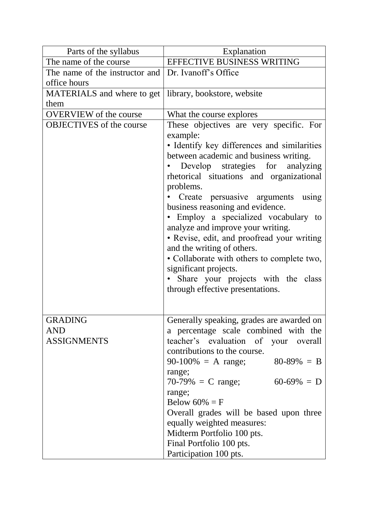| Parts of the syllabus                       | Explanation                                                                                                                                                                                                                                                                                                                                                                                                                                       |
|---------------------------------------------|---------------------------------------------------------------------------------------------------------------------------------------------------------------------------------------------------------------------------------------------------------------------------------------------------------------------------------------------------------------------------------------------------------------------------------------------------|
| The name of the course                      | EFFECTIVE BUSINESS WRITING                                                                                                                                                                                                                                                                                                                                                                                                                        |
| The name of the instructor and              | Dr. Ivanoff's Office                                                                                                                                                                                                                                                                                                                                                                                                                              |
| office hours                                |                                                                                                                                                                                                                                                                                                                                                                                                                                                   |
| MATERIALS and where to get                  | library, bookstore, website                                                                                                                                                                                                                                                                                                                                                                                                                       |
| them                                        |                                                                                                                                                                                                                                                                                                                                                                                                                                                   |
| <b>OVERVIEW</b> of the course               | What the course explores                                                                                                                                                                                                                                                                                                                                                                                                                          |
| <b>OBJECTIVES</b> of the course             | These objectives are very specific. For<br>example:<br>• Identify key differences and similarities<br>between academic and business writing.<br>Develop strategies for analyzing<br>rhetorical situations and organizational<br>problems.<br>Create persuasive arguments<br>using<br>business reasoning and evidence.                                                                                                                             |
|                                             | Employ a specialized vocabulary to<br>analyze and improve your writing.<br>• Revise, edit, and proofread your writing<br>and the writing of others.<br>• Collaborate with others to complete two,<br>significant projects.<br>Share your projects with the class<br>through effective presentations.                                                                                                                                              |
| <b>GRADING</b><br>AND<br><b>ASSIGNMENTS</b> | Generally speaking, grades are awarded on<br>a percentage scale combined with the<br>teacher's evaluation of your overall<br>contributions to the course.<br>$90-100\% = A$ range;<br>$80-89\% = B$<br>range;<br>$70-79\% = C$ range;<br>$60-69\% = D$<br>range;<br>Below $60\% = F$<br>Overall grades will be based upon three<br>equally weighted measures:<br>Midterm Portfolio 100 pts.<br>Final Portfolio 100 pts.<br>Participation 100 pts. |